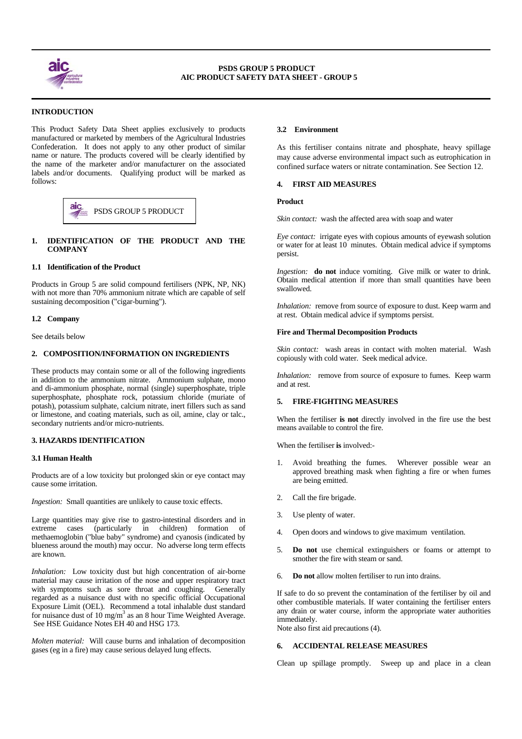

 $\overline{a}$ 

 $\overline{a}$ 

# **INTRODUCTION**

This Product Safety Data Sheet applies exclusively to products manufactured or marketed by members of the Agricultural Industries Confederation. It does not apply to any other product of similar name or nature. The products covered will be clearly identified by the name of the marketer and/or manufacturer on the associated labels and/or documents. Qualifying product will be marked as follows:



# **1. IDENTIFICATION OF THE PRODUCT AND THE COMPANY**

# **1.1 Identification of the Product**

Products in Group 5 are solid compound fertilisers (NPK, NP, NK) with not more than 70% ammonium nitrate which are capable of self sustaining decomposition ("cigar-burning").

## **1.2 Company**

See details below

# **2. COMPOSITION/INFORMATION ON INGREDIENTS**

These products may contain some or all of the following ingredients in addition to the ammonium nitrate. Ammonium sulphate, mono and di-ammonium phosphate, normal (single) superphosphate, triple superphosphate, phosphate rock, potassium chloride (muriate of potash), potassium sulphate, calcium nitrate, inert fillers such as sand or limestone, and coating materials, such as oil, amine, clay or talc., secondary nutrients and/or micro-nutrients.

## **3. HAZARDS IDENTIFICATION**

## **3.1 Human Health**

Products are of a low toxicity but prolonged skin or eye contact may cause some irritation.

*Ingestion:* Small quantities are unlikely to cause toxic effects.

Large quantities may give rise to gastro-intestinal disorders and in extreme cases (particularly in children) formation of methaemoglobin ("blue baby" syndrome) and cyanosis (indicated by blueness around the mouth) may occur. No adverse long term effects are known.

*Inhalation:* Low toxicity dust but high concentration of air-borne material may cause irritation of the nose and upper respiratory tract with symptoms such as sore throat and coughing. Generally regarded as a nuisance dust with no specific official Occupational Exposure Limit (OEL). Recommend a total inhalable dust standard for nuisance dust of 10 mg/m<sup>3</sup> as an 8 hour Time Weighted Average. See HSE Guidance Notes EH 40 and HSG 173.

*Molten material:* Will cause burns and inhalation of decomposition gases (eg in a fire) may cause serious delayed lung effects.

# **3.2 Environment**

As this fertiliser contains nitrate and phosphate, heavy spillage may cause adverse environmental impact such as eutrophication in confined surface waters or nitrate contamination. See Section 12.

## **4. FIRST AID MEASURES**

## **Product**

*Skin contact:* wash the affected area with soap and water

*Eye contact:* irrigate eyes with copious amounts of eyewash solution or water for at least 10 minutes. Obtain medical advice if symptoms persist.

*Ingestion:* **do not** induce vomiting. Give milk or water to drink. Obtain medical attention if more than small quantities have been swallowed.

*Inhalation:* remove from source of exposure to dust. Keep warm and at rest. Obtain medical advice if symptoms persist.

### **Fire and Thermal Decomposition Products**

*Skin contact:* wash areas in contact with molten material. Wash copiously with cold water. Seek medical advice.

*Inhalation:* remove from source of exposure to fumes. Keep warm and at rest.

# **5. FIRE-FIGHTING MEASURES**

When the fertiliser **is not** directly involved in the fire use the best means available to control the fire.

When the fertiliser **is** involved:-

- Avoid breathing the fumes. Wherever possible wear an approved breathing mask when fighting a fire or when fumes are being emitted.
- 2. Call the fire brigade.
- 3. Use plenty of water.
- 4. Open doors and windows to give maximum ventilation.
- 5. **Do not** use chemical extinguishers or foams or attempt to smother the fire with steam or sand.
- 6. **Do not** allow molten fertiliser to run into drains.

If safe to do so prevent the contamination of the fertiliser by oil and other combustible materials. If water containing the fertiliser enters any drain or water course, inform the appropriate water authorities immediately.

Note also first aid precautions (4).

### **6. ACCIDENTAL RELEASE MEASURES**

Clean up spillage promptly. Sweep up and place in a clean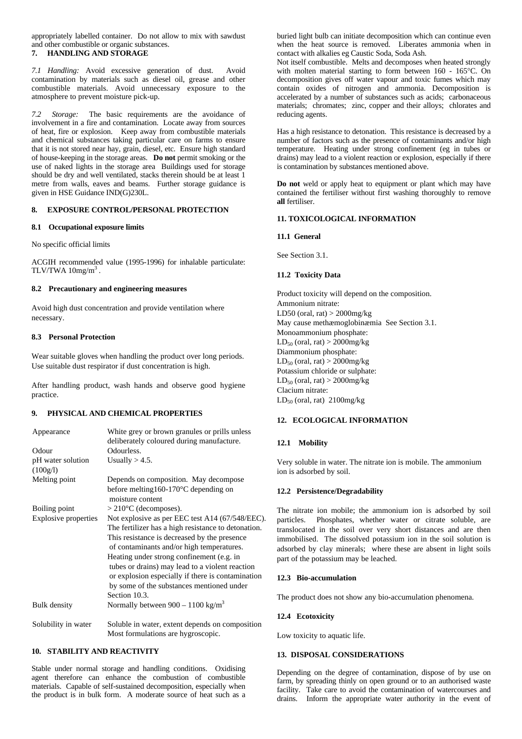appropriately labelled container. Do not allow to mix with sawdust and other combustible or organic substances.

### **7. HANDLING AND STORAGE**

*7.1 Handling:* Avoid excessive generation of dust. Avoid contamination by materials such as diesel oil, grease and other combustible materials. Avoid unnecessary exposure to the atmosphere to prevent moisture pick-up.

*7.2 Storage:* The basic requirements are the avoidance of involvement in a fire and contamination. Locate away from sources of heat, fire or explosion. Keep away from combustible materials and chemical substances taking particular care on farms to ensure that it is not stored near hay, grain, diesel, etc. Ensure high standard of house-keeping in the storage areas. **Do not** permit smoking or the use of naked lights in the storage area Buildings used for storage should be dry and well ventilated, stacks therein should be at least 1 metre from walls, eaves and beams. Further storage guidance is given in HSE Guidance IND(G)230L.

## **8. EXPOSURE CONTROL/PERSONAL PROTECTION**

## **8.1 Occupational exposure limits**

No specific official limits

ACGIH recommended value (1995-1996) for inhalable particulate: TLV/TWA  $10$ mg/m<sup>3</sup>.

## **8.2 Precautionary and engineering measures**

Avoid high dust concentration and provide ventilation where necessary.

## **8.3 Personal Protection**

Wear suitable gloves when handling the product over long periods. Use suitable dust respirator if dust concentration is high.

After handling product, wash hands and observe good hygiene practice.

# **9. PHYSICAL AND CHEMICAL PROPERTIES**

| Appearance                    | White grey or brown granules or prills unless<br>deliberately coloured during manufacture.                                                                                                                                                                                                                                                                                                                             |
|-------------------------------|------------------------------------------------------------------------------------------------------------------------------------------------------------------------------------------------------------------------------------------------------------------------------------------------------------------------------------------------------------------------------------------------------------------------|
| Odour                         | Odourless.                                                                                                                                                                                                                                                                                                                                                                                                             |
| pH water solution<br>(100g/l) | Usually $> 4.5$ .                                                                                                                                                                                                                                                                                                                                                                                                      |
| Melting point                 | Depends on composition. May decompose<br>before melting $160-170$ °C depending on<br>moisture content                                                                                                                                                                                                                                                                                                                  |
| Boiling point                 | $>$ 210 $\rm{^{\circ}C}$ (decomposes).                                                                                                                                                                                                                                                                                                                                                                                 |
| <b>Explosive properties</b>   | Not explosive as per EEC test A14 (67/548/EEC).<br>The fertilizer has a high resistance to detonation.<br>This resistance is decreased by the presence<br>of contaminants and/or high temperatures.<br>Heating under strong confinement (e.g. in<br>tubes or drains) may lead to a violent reaction<br>or explosion especially if there is contamination<br>by some of the substances mentioned under<br>Section 10.3. |
| <b>Bulk</b> density           | Normally between $900 - 1100$ kg/m <sup>3</sup>                                                                                                                                                                                                                                                                                                                                                                        |
| Solubility in water           | Soluble in water, extent depends on composition<br>Most formulations are hygroscopic.                                                                                                                                                                                                                                                                                                                                  |

# **10. STABILITY AND REACTIVITY**

Stable under normal storage and handling conditions. Oxidising agent therefore can enhance the combustion of combustible materials. Capable of self-sustained decomposition, especially when the product is in bulk form. A moderate source of heat such as a buried light bulb can initiate decomposition which can continue even when the heat source is removed. Liberates ammonia when in contact with alkalies eg Caustic Soda, Soda Ash.

Not itself combustible. Melts and decomposes when heated strongly with molten material starting to form between 160 - 165°C. On decomposition gives off water vapour and toxic fumes which may contain oxides of nitrogen and ammonia. Decomposition is accelerated by a number of substances such as acids; carbonaceous materials; chromates; zinc, copper and their alloys; chlorates and reducing agents.

Has a high resistance to detonation. This resistance is decreased by a number of factors such as the presence of contaminants and/or high temperature. Heating under strong confinement (eg in tubes or drains) may lead to a violent reaction or explosion, especially if there is contamination by substances mentioned above.

**Do not** weld or apply heat to equipment or plant which may have contained the fertiliser without first washing thoroughly to remove **all** fertiliser.

## **11. TOXICOLOGICAL INFORMATION**

## **11.1 General**

See Section 3.1.

# **11.2 Toxicity Data**

Product toxicity will depend on the composition. Ammonium nitrate: LD50 (oral, rat)  $>$  2000mg/kg May cause methæmoglobinæmia See Section 3.1. Monoammonium phosphate:  $LD_{50}$  (oral, rat) > 2000mg/kg Diammonium phosphate:  $LD_{50}$  (oral, rat) > 2000mg/kg Potassium chloride or sulphate:  $LD_{50}$  (oral, rat) > 2000mg/kg Clacium nitrate:  $LD_{50}$  (oral, rat) 2100mg/kg

# **12. ECOLOGICAL INFORMATION**

# **12.1 Mobility**

Very soluble in water. The nitrate ion is mobile. The ammonium ion is adsorbed by soil.

# **12.2 Persistence/Degradability**

The nitrate ion mobile; the ammonium ion is adsorbed by soil particles. Phosphates, whether water or citrate soluble, are translocated in the soil over very short distances and are then immobilised. The dissolved potassium ion in the soil solution is adsorbed by clay minerals; where these are absent in light soils part of the potassium may be leached.

### **12.3 Bio-accumulation**

The product does not show any bio-accumulation phenomena.

### **12.4 Ecotoxicity**

Low toxicity to aquatic life.

### **13. DISPOSAL CONSIDERATIONS**

Depending on the degree of contamination, dispose of by use on farm, by spreading thinly on open ground or to an authorised waste facility. Take care to avoid the contamination of watercourses and drains. Inform the appropriate water authority in the event of